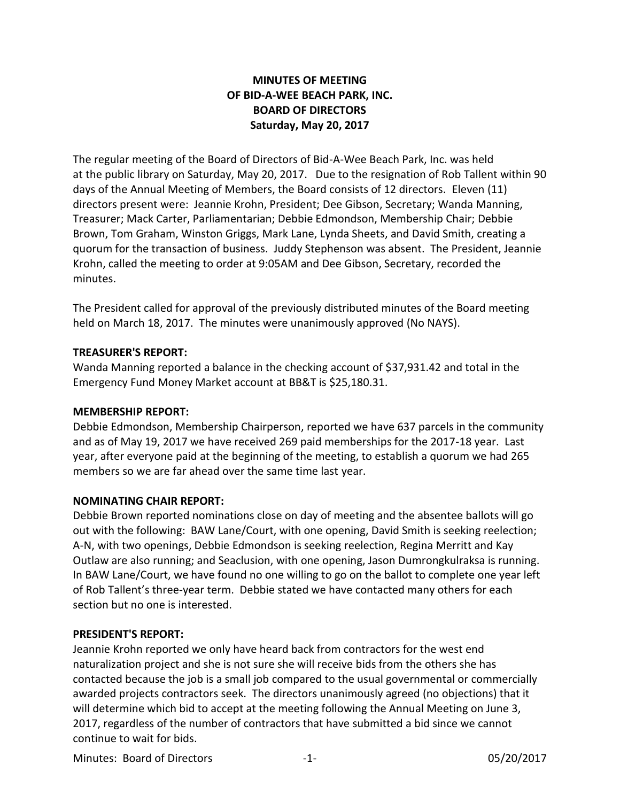# **MINUTES OF MEETING OF BID-A-WEE BEACH PARK, INC. BOARD OF DIRECTORS Saturday, May 20, 2017**

The regular meeting of the Board of Directors of Bid-A-Wee Beach Park, Inc. was held at the public library on Saturday, May 20, 2017. Due to the resignation of Rob Tallent within 90 days of the Annual Meeting of Members, the Board consists of 12 directors. Eleven (11) directors present were: Jeannie Krohn, President; Dee Gibson, Secretary; Wanda Manning, Treasurer; Mack Carter, Parliamentarian; Debbie Edmondson, Membership Chair; Debbie Brown, Tom Graham, Winston Griggs, Mark Lane, Lynda Sheets, and David Smith, creating a quorum for the transaction of business. Juddy Stephenson was absent. The President, Jeannie Krohn, called the meeting to order at 9:05AM and Dee Gibson, Secretary, recorded the minutes.

The President called for approval of the previously distributed minutes of the Board meeting held on March 18, 2017. The minutes were unanimously approved (No NAYS).

#### **TREASURER'S REPORT:**

Wanda Manning reported a balance in the checking account of \$37,931.42 and total in the Emergency Fund Money Market account at BB&T is \$25,180.31.

## **MEMBERSHIP REPORT:**

Debbie Edmondson, Membership Chairperson, reported we have 637 parcels in the community and as of May 19, 2017 we have received 269 paid memberships for the 2017-18 year. Last year, after everyone paid at the beginning of the meeting, to establish a quorum we had 265 members so we are far ahead over the same time last year.

## **NOMINATING CHAIR REPORT:**

Debbie Brown reported nominations close on day of meeting and the absentee ballots will go out with the following: BAW Lane/Court, with one opening, David Smith is seeking reelection; A-N, with two openings, Debbie Edmondson is seeking reelection, Regina Merritt and Kay Outlaw are also running; and Seaclusion, with one opening, Jason Dumrongkulraksa is running. In BAW Lane/Court, we have found no one willing to go on the ballot to complete one year left of Rob Tallent's three-year term. Debbie stated we have contacted many others for each section but no one is interested.

#### **PRESIDENT'S REPORT:**

Jeannie Krohn reported we only have heard back from contractors for the west end naturalization project and she is not sure she will receive bids from the others she has contacted because the job is a small job compared to the usual governmental or commercially awarded projects contractors seek. The directors unanimously agreed (no objections) that it will determine which bid to accept at the meeting following the Annual Meeting on June 3, 2017, regardless of the number of contractors that have submitted a bid since we cannot continue to wait for bids.

Minutes: Board of Directors -1- 05/20/2017